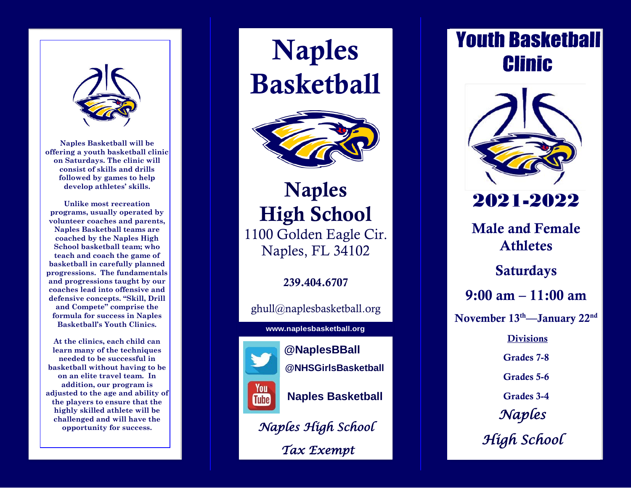

**Naples Basketball will be offering a youth basketball clinic on Saturdays. The clinic will consist of skills and drills followed by games to help develop athletes' skills .**

**Unlike most recreation programs, usually operated by volunteer coaches and parents, Naples Basketball teams are coached by the Naples High School basketball team ; who teach and coach the game of basketball in carefully planned progressions. The fundamentals and progressions taught by our coaches lead into offensive and defensive concepts. "Skill, Drill and Compete " comprise the formula for success in Naples Basketball's Youth Clinics .**

**At the clinics, each child can learn many of the techniques needed to be successful in basketball without having to be on an elite travel team. In addition, our program is adjusted to the age and ability of the players to ensure that the highly skilled athlete will be challenged and will have the opportunity for success.**

Naples **Basketball** 



Naples High School 1 100 Golden Eagle Cir. Naples, FL 341 0 2

239.404 .6707

ghull@naplesbasketball.org

#### **www.naplesbasketball.org**



**@NaplesBBall @NHSGirlsBasketball Naples Basketball**

*Naples High School Tax Exempt* 

### **Youth Basketball Clinic**



*Naples High School*  20 2 1 -20 2 2 Male and Female Athletes Saturday s 9:00 am – 11:00 am November 13<sup>th</sup>—January 22<sup>nd</sup> **Divisions** Grades 7 - 8 Grades 5 - 6 Grades 3 - 4